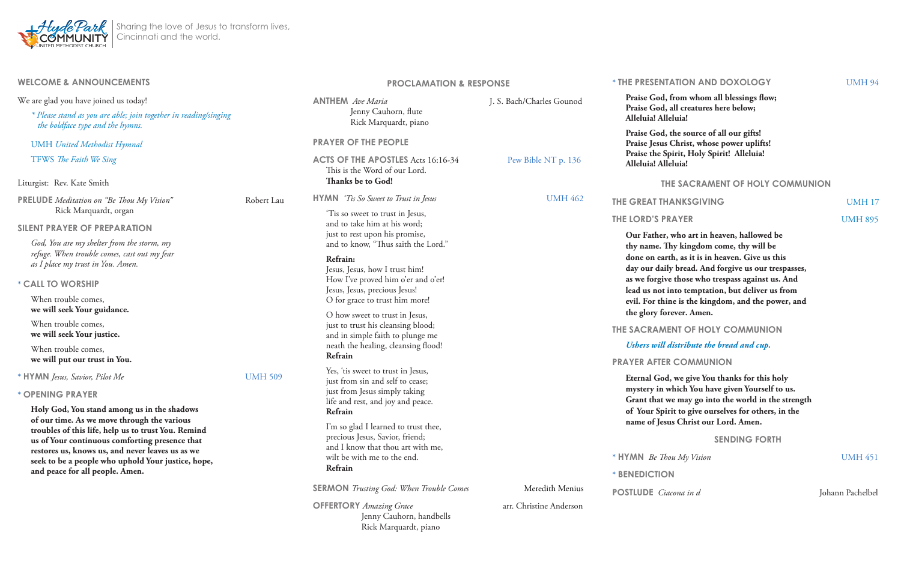| <b>WELCOME &amp; ANNOUNCEMENTS</b>                                                                                                                                                                                                                                                                                                               |                              | <b>PROCLAMATION &amp; RESPONSE</b>                                                                                                                                                                                                                                                                                                                                                                                                                                                                                                                                                                                                                                                                                                       |                           | * THE PRESI                                            |
|--------------------------------------------------------------------------------------------------------------------------------------------------------------------------------------------------------------------------------------------------------------------------------------------------------------------------------------------------|------------------------------|------------------------------------------------------------------------------------------------------------------------------------------------------------------------------------------------------------------------------------------------------------------------------------------------------------------------------------------------------------------------------------------------------------------------------------------------------------------------------------------------------------------------------------------------------------------------------------------------------------------------------------------------------------------------------------------------------------------------------------------|---------------------------|--------------------------------------------------------|
| We are glad you have joined us today!<br>* Please stand as you are able; join together in reading/singing<br>the boldface type and the hymns.                                                                                                                                                                                                    |                              | <b>ANTHEM</b> Ave Maria<br>Jenny Cauhorn, flute<br>Rick Marquardt, piano                                                                                                                                                                                                                                                                                                                                                                                                                                                                                                                                                                                                                                                                 | J. S. Bach/Charles Gounod | <b>Praise G</b><br><b>Praise G</b><br>Alleluia!        |
| <b>UMH</b> United Methodist Hymnal<br>TFWS The Faith We Sing                                                                                                                                                                                                                                                                                     |                              | <b>PRAYER OF THE PEOPLE</b><br><b>ACTS OF THE APOSTLES Acts 16:16-34</b><br>This is the Word of our Lord.                                                                                                                                                                                                                                                                                                                                                                                                                                                                                                                                                                                                                                | Pew Bible NT p. 136       | <b>Praise G</b><br>Praise Je<br>Praise th<br>Alleluia! |
| Liturgist: Rev. Kate Smith                                                                                                                                                                                                                                                                                                                       |                              | Thanks be to God!                                                                                                                                                                                                                                                                                                                                                                                                                                                                                                                                                                                                                                                                                                                        |                           |                                                        |
| <b>PRELUDE</b> Meditation on "Be Thou My Vision"<br>Rick Marquardt, organ                                                                                                                                                                                                                                                                        | Robert Lau<br><b>UMH 509</b> | <b>HYMN</b> 'Tis So Sweet to Trust in Jesus                                                                                                                                                                                                                                                                                                                                                                                                                                                                                                                                                                                                                                                                                              | <b>UMH 462</b>            | <b>THE GREAT</b>                                       |
| <b>SILENT PRAYER OF PREPARATION</b>                                                                                                                                                                                                                                                                                                              |                              | Tis so sweet to trust in Jesus,<br>and to take him at his word;<br>just to rest upon his promise,<br>and to know, "Thus saith the Lord."<br>Refrain:<br>Jesus, Jesus, how I trust him!<br>How I've proved him o'er and o'er!<br>Jesus, Jesus, precious Jesus!<br>O for grace to trust him more!<br>O how sweet to trust in Jesus,<br>just to trust his cleansing blood;<br>and in simple faith to plunge me<br>neath the healing, cleansing flood!<br>Refrain<br>Yes, 'tis sweet to trust in Jesus,<br>just from sin and self to cease;<br>just from Jesus simply taking<br>life and rest, and joy and peace.<br>Refrain<br>I'm so glad I learned to trust thee,<br>precious Jesus, Savior, friend;<br>and I know that thou art with me, |                           | <b>THE LORD'S</b>                                      |
| God, You are my shelter from the storm, my<br>refuge. When trouble comes, cast out my fear<br>as I place my trust in You. Amen.                                                                                                                                                                                                                  |                              |                                                                                                                                                                                                                                                                                                                                                                                                                                                                                                                                                                                                                                                                                                                                          |                           | Our Fatl<br>thy name<br>done on<br>day our             |
| * CALL TO WORSHIP                                                                                                                                                                                                                                                                                                                                |                              |                                                                                                                                                                                                                                                                                                                                                                                                                                                                                                                                                                                                                                                                                                                                          |                           | as we for<br>lead us n                                 |
| When trouble comes,<br>we will seek Your guidance.                                                                                                                                                                                                                                                                                               |                              |                                                                                                                                                                                                                                                                                                                                                                                                                                                                                                                                                                                                                                                                                                                                          | evil. For<br>the glory    |                                                        |
| When trouble comes,<br>we will seek Your justice.                                                                                                                                                                                                                                                                                                |                              |                                                                                                                                                                                                                                                                                                                                                                                                                                                                                                                                                                                                                                                                                                                                          |                           | <b>THE SACRA</b>                                       |
| When trouble comes,<br>we will put our trust in You.                                                                                                                                                                                                                                                                                             |                              |                                                                                                                                                                                                                                                                                                                                                                                                                                                                                                                                                                                                                                                                                                                                          |                           | <b>Ushers</b> u<br><b>PRAYER AF</b>                    |
| * HYMN Jesus, Savior, Pilot Me                                                                                                                                                                                                                                                                                                                   |                              |                                                                                                                                                                                                                                                                                                                                                                                                                                                                                                                                                                                                                                                                                                                                          |                           | Eternal (                                              |
| * OPENING PRAYER                                                                                                                                                                                                                                                                                                                                 |                              |                                                                                                                                                                                                                                                                                                                                                                                                                                                                                                                                                                                                                                                                                                                                          |                           | mystery<br><b>Grant</b> th                             |
| Holy God, You stand among us in the shadows<br>of our time. As we move through the various<br>troubles of this life, help us to trust You. Remind<br>us of Your continuous comforting presence that<br>restores us, knows us, and never leaves us as we<br>seek to be a people who uphold Your justice, hope,<br>and peace for all people. Amen. |                              |                                                                                                                                                                                                                                                                                                                                                                                                                                                                                                                                                                                                                                                                                                                                          |                           | of Your                                                |
|                                                                                                                                                                                                                                                                                                                                                  |                              |                                                                                                                                                                                                                                                                                                                                                                                                                                                                                                                                                                                                                                                                                                                                          |                           | name of                                                |
|                                                                                                                                                                                                                                                                                                                                                  |                              | wilt be with me to the end.<br>Refrain                                                                                                                                                                                                                                                                                                                                                                                                                                                                                                                                                                                                                                                                                                   |                           | $*$ HYMN $Be$                                          |
|                                                                                                                                                                                                                                                                                                                                                  |                              |                                                                                                                                                                                                                                                                                                                                                                                                                                                                                                                                                                                                                                                                                                                                          |                           | * BENEDICT                                             |
|                                                                                                                                                                                                                                                                                                                                                  |                              | <b>SERMON</b> Trusting God: When Trouble Comes                                                                                                                                                                                                                                                                                                                                                                                                                                                                                                                                                                                                                                                                                           | Meredith Menius           | <b>POSTLUDE</b>                                        |
|                                                                                                                                                                                                                                                                                                                                                  |                              | <b>OFFERTORY</b> Amazing Grace<br>Jenny Cauhorn, handbells                                                                                                                                                                                                                                                                                                                                                                                                                                                                                                                                                                                                                                                                               | arr. Christine Anderson   |                                                        |

**Our Father, who art in heaven, hallowed be thy name. Thy kingdom come, thy will be**  earth, as it is in heaven. Give us this daily bread. And forgive us our trespasses, **as we forgive those who trespass against us. And lead us not into temptation, but deliver us from**  thine is the kingdom, and the power, and *t* forever. Amen.

#### **AMENT OF HOLY COMMUNION**

Rick Marquardt, piano

#### **ENTATION AND DOXOLOGY** UMH 94



**Praise God, from whom all blessings flow; Praise God, all creatures here below; Alleluia! Alleluia!** 

**Praise God, the source of all our gifts! Praise Jesus Christ, whose power uplifts! Praise the Spirit, Holy Spirit! Alleluia! Alleluia! Alleluia!**

#### **THE SACRAMENT OF HOLY COMMUNION**

#### **THANKSGIVING** UMH 17

#### *Ushers will distribute the bread and cup.*

#### **FTER COMMUNION**

God, we give You thanks for this holy in which You have given Yourself to us. hat we may go into the world in the strength Spirit to give ourselves for others, in the **f Jesus Christ our Lord. Amen.** 

#### **SENDING FORTH**

*Thou My Vision* **UMH** 451

 $\overline{B}$ 

*Ciacona in d Johann Pachelbel* 

**THE LORD'S PRAYER COMMENT SPRAYER**